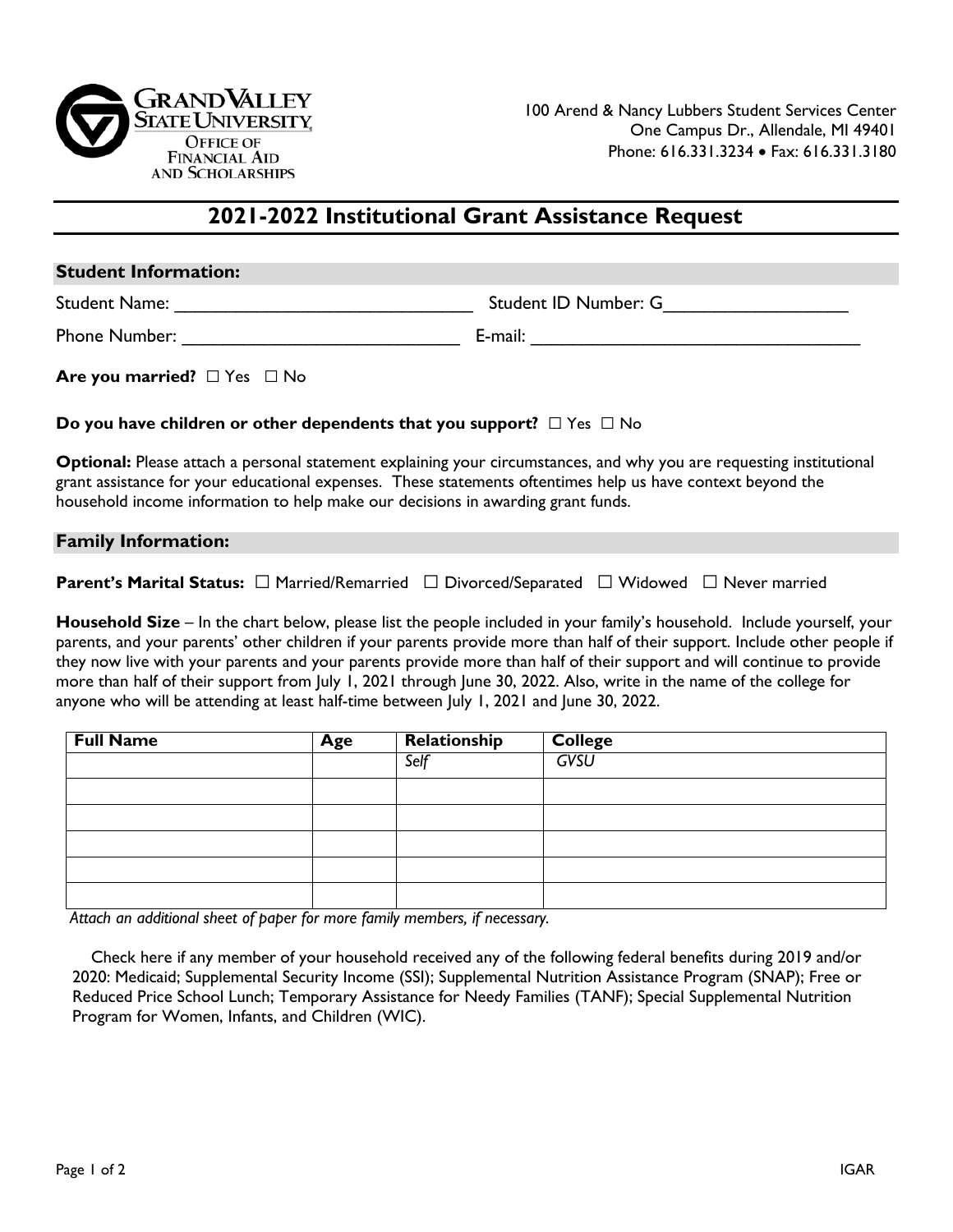

# **2021-2022 Institutional Grant Assistance Request**

| <b>Student Information:</b>                                                                                                                                                                                                                                                                                             |  |  |  |  |  |
|-------------------------------------------------------------------------------------------------------------------------------------------------------------------------------------------------------------------------------------------------------------------------------------------------------------------------|--|--|--|--|--|
|                                                                                                                                                                                                                                                                                                                         |  |  |  |  |  |
|                                                                                                                                                                                                                                                                                                                         |  |  |  |  |  |
| Are you married? $\Box$ Yes $\Box$ No                                                                                                                                                                                                                                                                                   |  |  |  |  |  |
| Do you have children or other dependents that you support? $\square$ Yes $\square$ No                                                                                                                                                                                                                                   |  |  |  |  |  |
| Optional: Please attach a personal statement explaining your circumstances, and why you are requesting institutional<br>grant assistance for your educational expenses. These statements oftentimes help us have context beyond the<br>household income information to help make our decisions in awarding grant funds. |  |  |  |  |  |
| <b>Family Information:</b>                                                                                                                                                                                                                                                                                              |  |  |  |  |  |
| <b>Parent's Marital Status:</b> $\Box$ Married/Remarried $\Box$ Divorced/Separated $\Box$ Widowed $\Box$ Never married                                                                                                                                                                                                  |  |  |  |  |  |

**Household Size** – In the chart below, please list the people included in your family's household. Include yourself, your parents, and your parents' other children if your parents provide more than half of their support. Include other people if they now live with your parents and your parents provide more than half of their support and will continue to provide more than half of their support from July 1, 2021 through June 30, 2022. Also, write in the name of the college for anyone who will be attending at least half-time between July 1, 2021 and June 30, 2022.

| <b>Full Name</b> | Age | Relationship | <b>College</b> |
|------------------|-----|--------------|----------------|
|                  |     | Self         | GVSU           |
|                  |     |              |                |
|                  |     |              |                |
|                  |     |              |                |
|                  |     |              |                |
|                  |     |              |                |

*Attach an additional sheet of paper for more family members, if necessary.* 

Check here if any member of your household received any of the following federal benefits during 2019 and/or 2020: Medicaid; Supplemental Security Income (SSI); Supplemental Nutrition Assistance Program (SNAP); Free or Reduced Price School Lunch; Temporary Assistance for Needy Families (TANF); Special Supplemental Nutrition Program for Women, Infants, and Children (WIC).